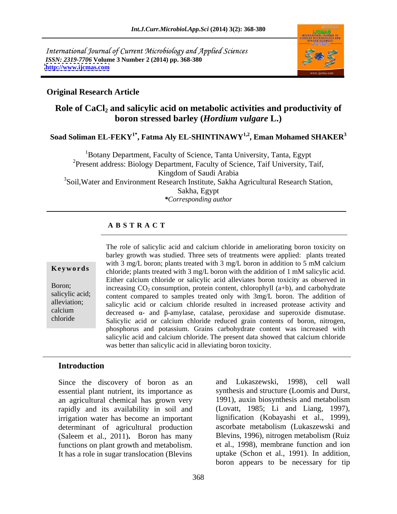

### **Original Research Article**

# Role of CaCl<sub>2</sub> and salicylic acid on metabolic activities and productivity of **boron stressed barley (***Hordium vulgare* **L.)**

**Soad Soliman EL-FEKY1\*, Fatma Aly EL-SHINTINAWY1,2 , Eman Mohamed SHAKER<sup>3</sup>**

1Botany Department, Faculty of Science, Tanta University, Tanta, Egypt <sup>2</sup>Present address: Biology Department, Faculty of Science, Taif University, Taif, Kingdom of Saudi Arabia <sup>3</sup>Soil, Water and Environment Research Institute, Sakha Agricultural Research Station, Sakha, Egypt *\*Corresponding author*

### **A B S T R A C T**

**Keywords** chloride; plants treated with 3 mg/L boron with the addition of 1 mM salicylic acid. Boron; increasing  $CO_2$  consumption, protein content, chlorophyll (a+b), and carbohydrate salicylic acid; content compared to samples treated only with 3mg/L boron. The addition of alleviation; salicylic acid or calcium chloride resulted in increased protease activity and calcium decreased  $\alpha$ - and  $\beta$ -amylase, catalase, peroxidase and superoxide dismutase. chloride Salicylic acid or calcium chloride reduced grain contents of boron, nitrogen, The role of salicylic acid and calcium chloride in ameliorating boron toxicity on barley growth was studied. Three sets of treatments were applied: plants treated with 3 mg/L boron; plants treated with 3 mg/L boron in addition to 5 mM calcium Either calcium chloride or salicylic acid alleviates boron toxicity as observed in phosphorus and potassium. Grains carbohydrate content was increased with salicylic acid and calcium chloride. The present data showed that calcium chloride was better than salicylic acid in alleviating boron toxicity.

### **Introduction**

Since the discovery of boron as an essential plant nutrient, its importance as an agricultural chemical has grown very rapidly and its availability in soil and irrigation water has become an important determinant of agricultural production functions on plant growth and metabolism. It has a role in sugar translocation (Blevins

(Saleem et al., 2011). Boron has many Blevins, 1996), nitrogen metabolism (Ruiz and Lukaszewski, 1998), cell wall synthesis and structure (Loomis and Durst, 1991), auxin biosynthesis and metabolism (Lovatt, 1985; Li and Liang, 1997), lignification (Kobayashi et al., 1999), ascorbate metabolism (Lukaszewski and et al., 1998), membrane function and ion uptake (Schon et al., 1991). In addition, boron appears to be necessary for tip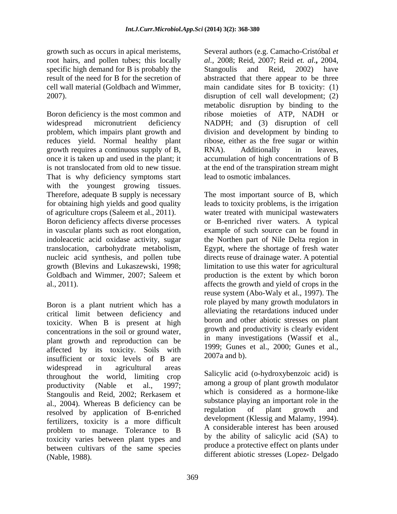root hairs, and pollen tubes; this locally al., 2008; Reid, 2007; Reid et. al., 2004, specific high demand for B is probably the Stangoulis and Reid, 2002) have

Boron deficiency is the most common and ribose moieties of ATP, NADH or widespread micronutrient deficiency NADPH; and (3) disruption of cell problem, which impairs plant growth and division and development by binding to reduces yield. Normal healthy plant growth requires a continuous supply of B,  $\qquad$  RNA). Additionally in leaves, once it is taken up and used in the plant; it accumulation of high concentrations of B is not translocated from old to new tissue. at the end of the transpiration stream might That is why deficiency symptoms start with the youngest growing tissues. Therefore, adequate B supply is necessary The most important source of B, which for obtaining high yields and good quality leads to toxicity problems, is the irrigation of agriculture crops (Saleem et al., 2011). water treated with municipal wastewaters Boron deficiency affects diverse processes or B-enriched river waters. A typical in vascular plants such as root elongation, example of such source can be found in indoleacetic acid oxidase activity, sugar the Northen part of Nile Delta region in translocation, carbohydrate metabolism, nucleic acid synthesis, and pollen tube directs reuse of drainage water. A potential growth (Blevins and Lukaszewski, 1998; limitation to use this water for agricultural Goldbach and Wimmer, 2007; Saleem et production is the extent by which boron al., 2011). affects the growth and yield of crops in the

Boron is a plant nutrient which has a critical limit between deficiency and toxicity. When B is present at high concentrations in the soil or ground water, plant growth and reproduction can be affected by its toxicity. Soils with  $\frac{1999}{2007a}$  curves insufficient or toxic levels of B are widespread in agricultural areas throughout the world, limiting crop productivity (Nable et al., 1997; all allows a group of plant growth modulator Stangoulis and Reid, 2002; Rerkasem et al., 2004). Whereas B deficiency can be substance playing an important role in the recolved by employing of B optiobed regulation of plant growth and resolved by application of B-enriched fertilizers, toxicity is a more difficult problem to manage. Tolerance to B toxicity varies between plant types and between cultivars of the same species (Nable, 1988). different abiotic stresses (Lopez- Delgado

growth such as occurs in apical meristems, Several authors (e.g. Camacho-Cristóbal *et*  result of the need for B for the secretion of abstracted that there appear to be three cell wall material (Goldbach and Wimmer, main candidate sites for B toxicity: (1) 2007). disruption of cell wall development; (2) *al.*, 2008; Reid, 2007; Reid *et. al*.**,** 2004, Stangoulis and Reid, 2002) have metabolic disruption by binding to the ribose, either as the free sugar or within RNA). Additionally in leaves, lead to osmotic imbalances.

> Egypt, where the shortage of fresh water production is the extent by which boron reuse system (Abo-Waly et al., 1997). The role played by many growth modulators in alleviating the retardations induced under boron and other abiotic stresses on plant growth and productivity is clearly evident in many investigations (Wassif et al., 1999; Gunes et al., 2000; Gunes et al., 2007a and b).

Salicylic acid (o-hydroxybenzoic acid) is among a group of plant growth modulator which is considered as a hormone-like substance playing an important role in the regulation of plant growth and development (Klessig and Malamy, 1994). A considerable interest has been aroused by the ability of salicylic acid (SA) to produce a protective effect on plants under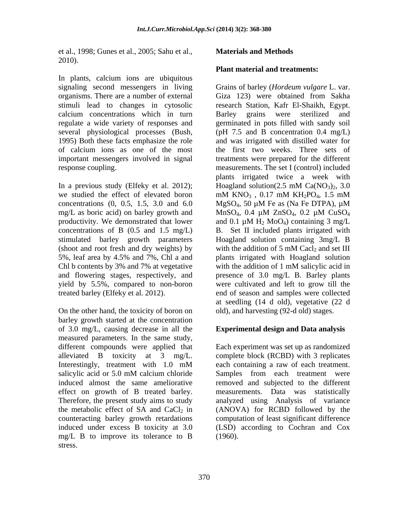et al., 1998; Gunes et al., 2005; Sahu et al., 2010).

In plants, calcium ions are ubiquitous organisms. There are a number of external Giza 123) were obtained from Sakha stimuli lead to changes in cytosolic calcium concentrations which in turn

In a previous study (Elfeky et al. 2012); Hoagland solution  $(2.5 \text{ mM } Ca(NO_3)_2, 3.0)$ we studied the effect of elevated boron mM  $KNO_3$ , 0.17 mM  $KH_2PO_4$ , 1.5 mM concentrations  $(0, 0.5, 1.5, 3.0, \text{ and } 6.0$  MgSO<sub>4</sub>, 50  $\mu$ M Fe as (Na Fe DTPA),  $\mu$ M mg/L as boric acid) on barley growth and MnSO<sub>4</sub>, 0.4  $\mu$ M ZnSO<sub>4</sub>, 0.2  $\mu$ M CuSO<sub>4</sub> productivity. We demonstrated that lower and 0.1  $\mu$ M H<sub>2</sub> MoO<sub>4</sub>) containing 3 mg/L (shoot and root fresh and dry weights) by Chl b contents by 3% and 7% at vegetative with the addition of 1 mM salicylic acid in

On the other hand, the toxicity of boron on barley growth started at the concentration of 3.0 mg/L, causing decrease in all the measured parameters. In the same study, different compounds were applied that Each experiment was set up as randomized alleviated B toxicity at 3 mg/L. complete block (RCBD) with 3 replicates<br>Interestingly, treatment with 1.0 mM each containing a raw of each treatment. salicylic acid or 5.0 mM calcium chloride Samples from each treatment were induced almost the same ameliorative removed and subjected to the different effect on growth of B treated barley. measurements. Data was statistically Therefore, the present study aims to study analyzed using Analysis of variance the metabolic effect of SA and  $CaCl<sub>2</sub>$  in (ANOVA) for RCBD followed by the counteracting barley growth retardations computation of least significant difference induced under excess B toxicity at 3.0 (LSD) according to Cochran and Cox mg/L B to improve its tolerance to B stress.

# **Materials and Methods**

# **Plant material and treatments:**

signaling second messengers in living Grains of barley (*Hordeum vulgare* L. var. regulate a wide variety of responses and germinated in pots filled with sandy soil several physiological processes (Bush, (pH 7.5 and B concentration 0.4 mg/L) 1995) Both these facts emphasize the role and was irrigated with distilled water for of calcium ions as one of the most the first two weeks. Three sets of important messengers involved in signal treatments were prepared for the different response coupling. measurements. The set I (control) included concentrations of B (0.5 and 1.5 mg/L) B. Set II included plants irrigated with stimulated barley growth parameters Hoagland solution containing 3mg/L B 5%, leaf area by 4.5% and 7%, Chl a and and flowering stages, respectively, and presence of 3.0 mg/L B. Barley plants yield by 5.5%, compared to non-boron were cultivated and left to grow till the treated barley (Elfeky et al. 2012). end of season and samples were collected Giza 123) were obtained from Sakha research Station, Kafr El-Shaikh, Egypt. Barley grains were sterilized and plants irrigated twice a week with Hoagland solution(2.5 mM  $Ca(NO<sub>3</sub>)<sub>2</sub>$ , 3.0 mM  $KNO_3$ , 0.17 mM  $KH_2PO_4$ , 1.5 mM MgSO4, 50 µM Fe as (Na Fe DTPA), µM  $MnSO_4$ , 0.4  $\mu$ M Zn $SO_4$ , 0.2  $\mu$ M Cu $SO_4$ and 0.1  $\mu$ M H<sub>2</sub> MoO<sub>4</sub>) containing 3 mg/L with the addition of  $5 \text{ mM }$  Cacl<sub>2</sub> and set III plants irrigated with Hoagland solution with the addition of 1 mM salicylic acid in at seedling (14 d old), vegetative (22 d old), and harvesting (92-d old) stages.

### **Experimental design and Data analysis**

complete block (RCBD) with 3 replicates each containing a raw of each treatment. Samples from each treatment were (1960).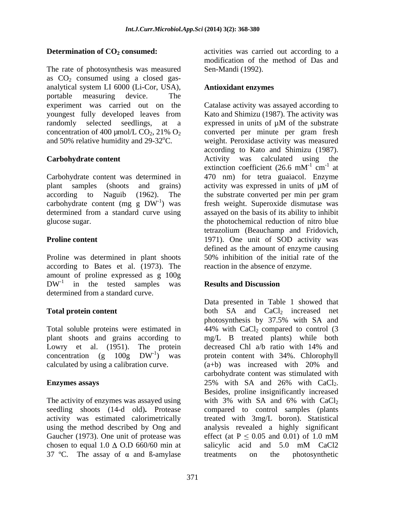The rate of photosynthesis was measured as  $CO<sub>2</sub>$  consumed using a closed gasanalytical system LI 6000 (Li-Cor, USA), portable measuring device. The randomly selected seedlings, at a expressed in units of  $\mu$ M of the substrate

plant samples (shoots and grains) activity was expressed in units of  $\mu$ M of according to Naguib (1962). The the substrate converted per min per gram

Proline was determined in plant shoots 50% inhibition of the initial rate of the according to Bates et al. (1973). The amount of proline expressed as g 100g  $DW<sup>-1</sup>$  in the tested samples was **Results and Discussion** determined from a standard curve.

Total soluble proteins were estimated in 44% with CaCl<sub>2</sub> compared to control (3) Lowry et al. (1951). The protein decreased Chl a/b ratio with 14% and calculated by using a calibration curve.  $(a+b)$  was increased with 20% and

The activity of enzymes was assayed using with 3% with SA and 6% with CaCl<sub>2</sub> Gaucher (1973). One unit of protease was effect (at  $P \le 0.05$  and 0.01) of 1.0 mM chosen to equal  $1.0 \triangle 0.$ D 660/60 min at salicylic acid and  $5.0 \text{ mM}$  CaCl2 37 °C. The assay of  $\alpha$  and B-amylase treatments on the photosynthetic

**Determination of CO<sub>2</sub> consumed:** activities was carried out according to a modification of the method of Das and Sen-Mandi (1992).

# **Antioxidant enzymes**

experiment was carried out on the Catalase activity was assayed according to youngest fully developed leaves from Kato and Shimizu (1987). The activity was concentration of 400  $\mu$ mol/L CO<sub>2</sub>, 21% O<sub>2</sub> converted per minute per gram fresh and 50% relative humidity and  $29-32^{\circ}$ C. weight. Peroxidase activity was measured **Carbohydrate content**  Activity was calculated using the Carbohydrate content was determined in 470 nm) for tetra guaiacol. Enzyme  $\alpha$ carbohydrate content (mg g  $DW^{-1}$ ) was fresh weight. Superoxide dismutase was determined from a standard curve using assayed on the basis of its ability to inhibit glucose sugar. the photochemical reduction of nitro blue **Proline content 1971**). One unit of SOD activity was expressed in units of  $\mu$ M of the substrate converted per minute per gram fresh according to Kato and Shimizu (1987). extinction coefficient (26.6 mM<sup>-1</sup> cm<sup>-1</sup> at  $-1$  and  $\alpha$  $cm^{-1}$  at  $-1$  of at activity was expressed in units of µM of the substrate converted per min per gram tetrazolium (Beauchamp and Fridovich, defined as the amount of enzyme causing 50% inhibition of the initial rate of the reaction in the absence of enzyme.

# **Results and Discussion**

**Total protein content both** SA and CaCl<sub>2</sub> increased net plant shoots and grains according to mg/L B treated plants) while both concentration (g  $100g$   $DW^{-1}$ ) was protein content with 34%. Chlorophyll **Enzymes assays** 25% with SA and 26% with CaCl<sub>2</sub>. seedling shoots (14-d old)**.** Protease compared to control samples (plants activity was estimated calorimetrically treated with 3mg/L boron). Statistical using the method described by Ong and analysis revealed a highly significant Data presented in Table 1 showed that photosynthesis by 37.5% with SA and  $44\%$  with CaCl<sub>2</sub> compared to control (3 decreased Chl a/b ratio with 14% and (a+b) was increased with 20% and carbohydrate content was stimulated with 25% with SA and 26% with  $CaCl<sub>2</sub>$ .<br>Besides, proline insignificantly increased with 3% with SA and 6% with  $CaCl<sub>2</sub>$ effect (at  $P \le 0.05$  and 0.01) of 1.0 mM salicylic acid and 5.0 mM CaCl2 treatments on the photosynthetic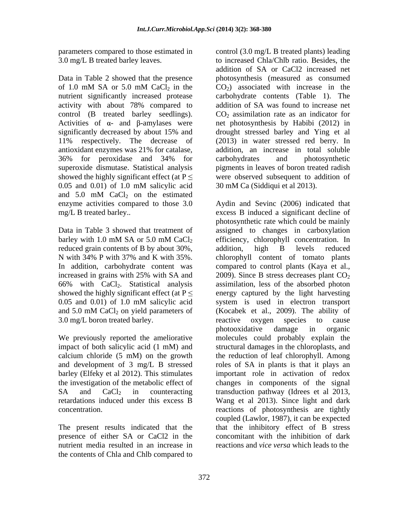nutrient significantly increased protease antioxidant enzymes was 21% for catalase, showed the highly significant effect (at  $P \leq$ 0.05 and 0.01) of 1.0 mM salicylic acid 30 mM Ca (Siddiqui et al 2013). and  $5.0$  mM CaCl<sub>2</sub> on the estimated

reduced grain contents of B by about 30%, addition, high B levels reduced 3.0 mg/L boron treated barley. The reactive oxygen species to cause

nutrient media resulted in an increase in the contents of Chla and Chlb compared to

parameters compared to those estimated in control (3.0 mg/L B treated plants) leading 3.0 mg/L B treated barley leaves. to increased Chla/Chlb ratio. Besides, the Data in Table 2 showed that the presence bhotosynthesis (measured as consumed of 1.0 mM SA or 5.0 mM CaCl<sub>2</sub> in the  $CO<sub>2</sub>$  associated with increase in the activity with about 78% compared to addition of SA was found to increase net control (B treated barley seedlings).  $CO_2$  assimilation rate as an indicator for Activities of  $\alpha$ - and  $\beta$ -amylases were net photosynthesis by Habibi (2012) in significantly decreased by about 15% and drought stressed barley and Ying et al 11% respectively. The decrease of (2013) in water stressed red berry. In 36% for peroxidase and 34% for superoxide dismutase. Statistical analysis pigments in leaves of boron treated radish addition of SA or CaCl2 increased net  $CO<sub>2</sub>$ ) associated with increase in the carbohydrate contents (Table 1). The addition of SA was found to increase net drought stressed barley and Ying et al addition, an increase in total soluble carbohydrates and photosynthetic were observed subsequent to addition of 30 mM Ca (Siddiqui et al 2013).

enzyme activities compared to those 3.0 Aydin and Sevinc (2006) indicated that mg/L B treated barley.. excess B induced a significant decline of Data in Table 3 showed that treatment of assigned to changes in carboxylation barley with 1.0 mM SA or 5.0 mM  $CaCl<sub>2</sub>$  efficiency, chlorophyll concentration. In N with 34% P with 37% and K with 35%. chlorophyll content of tomato plants In addition, carbohydrate content was compared to control plants (Kaya et al., increased in grains with 25% with SA and  $2009$ . Since B stress decreases plant  $CO<sub>2</sub>$ 66% with CaCl<sub>2</sub>. Statistical analysis assimilation, less of the absorbed photon showed the highly significant effect (at  $P \le$  energy captured by the light harvesting 0.05 and 0.01) of 1.0 mM salicylic acid and  $5.0 \text{ mM } CaCl_2$  on yield parameters of (Kocabek et al., 2009). The ability of We previously reported the ameliorative molecules could probably explain the impact of both salicylic acid (1 mM) and structural damages in the chloroplasts, and calcium chloride (5 mM) on the growth the reduction of leaf chlorophyll. Among and development of 3 mg/L B stressed roles of SA in plants is that it plays an barley (Elfeky et al 2012). This stimulates important role in activation of redox the investigation of the metabolic effect of changes in components of the signal SA and CaCl<sub>2</sub> in counteracting transduction pathway (Idrees et al 2013, retardations induced under this excess B Wang et al 2013). Since light and dark concentration. reactions of photosynthesis are tightly The present results indicated that the that the inhibitory effect of B stress presence of either SA or CaCl2 in the concomitant with the inhibition of dark photosynthetic rate which could be mainly efficiency, chlorophyll concentration. In addition, high B levels reduced chlorophyll content of tomato plants 2009). Since B stress decreases plant  $CO<sub>2</sub>$ assimilation, less of the absorbed photon system is used in electron transport (Kocabek et al., 2009). The ability of reactive oxygen species to cause photooxidative damage in organic coupled (Lawlor, 1987), it can be expected reactions and *vice versa* which leads to the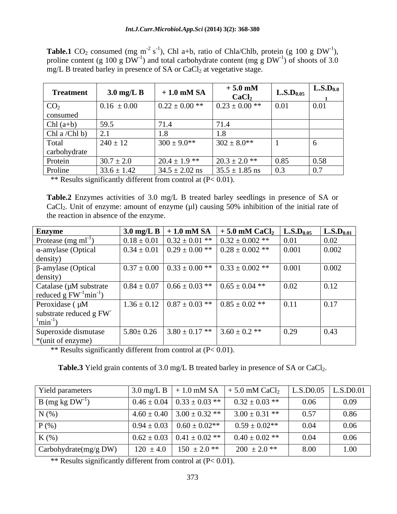**Table.1** CO<sub>2</sub> consumed (mg m<sup>-2</sup> s<sup>-1</sup>), Chl a+b, ratio of Chla/Chlb, protein (g 100 g DW<sup>-1</sup>), ), proline content (g 100 g DW<sup>-1</sup>) and total carbohydrate content (mg g DW<sup>-1</sup>) of shoots of 3.0 ) of shoots of 3.0 mg/L B treated barley in presence of SA or CaCl<sub>2</sub> at vegetative stage.

| <b>Treatment</b> | $3.0 \text{ mg/L B}$ | $+1.0$ mM SA       | $+5.0$ mM<br>CaCl <sub>2</sub> | $\mathbf{L.S.}\mathbf{D}_{0.05}$ | $\mathbf{L.S.D}_{0.0}$ |
|------------------|----------------------|--------------------|--------------------------------|----------------------------------|------------------------|
| CO <sub>2</sub>  | $0.16 \pm 0.00$      | $0.22 \pm 0.00$ ** | $0.23 \pm 0.00$ **             | 0.01                             | $\mid$ 0.01            |
| consumed         |                      |                    |                                |                                  |                        |
| Chl $(a+b)$      | 59.5                 |                    |                                |                                  |                        |
| Chl a /Chl b)    |                      |                    |                                |                                  |                        |
| Total            | $240 \pm 12$         | $300 \pm 9.0$ **   | $302 \pm 8.0**$                |                                  |                        |
| carbohydrate     |                      |                    |                                |                                  |                        |
| Protein          | $30.7 \pm 2.0$       | $20.4 \pm 1.9$ **  | $20.3 \pm 2.0$ **              | 0.85                             | $\vert 0.58 \vert$     |
| Proline          | $33.6 \pm 1.42$      | $34.5 \pm 2.02$ ns | $35.5 \pm 1.85$ ns             | 0.3                              | 0.7                    |

\*\* Results significantly different from control at  $(P< 0.01)$ .

**Table.2** Enzymes activities of 3.0 mg/L B treated barley seedlings in presence of SA or  $CaCl<sub>2</sub>$ . Unit of enzyme: amount of enzyme ( $\mu$ l) causing 50% inhibition of the initial rate of the reaction in absence of the enzyme.

| Enzyme                                                        | $3.0 \text{ mg/L B} + 1.0 \text{ mM SA}$                          | $+5.0$ mM CaCl <sub>2</sub> L.S.D <sub>0.05</sub>      |       | $\mathbf{L.S.D}_{0.01}$ |
|---------------------------------------------------------------|-------------------------------------------------------------------|--------------------------------------------------------|-------|-------------------------|
| Protease $(mg \, ml^{-1})$                                    |                                                                   | $0.18 \pm 0.01$ $0.32 \pm 0.01$ ** $0.32 \pm 0.002$ ** | 0.01  | 0.02                    |
| $\alpha$ -amylase (Optical                                    |                                                                   | $0.34 \pm 0.01$ $0.29 \pm 0.00$ ** $0.28 \pm 0.002$ ** | 0.001 | 0.002                   |
| density)                                                      |                                                                   |                                                        |       |                         |
| $\beta$ -amylase (Optical<br>density)                         | $0.37 \pm 0.00$ $0.33 \pm 0.00$ **                                | $0.33 \pm 0.002$ **                                    | 0.001 | 0.002                   |
| Catalase (µM substrate<br>reduced g $FW^{-1}min^{-1}$ )       |                                                                   | $0.84 \pm 0.07$ $0.66 \pm 0.03$ ** $0.65 \pm 0.04$ **  | 0.02  | 0.12                    |
| Peroxidase (µM<br>substrate reduced g FW<br>$\text{min}^{-1}$ |                                                                   | $1.36 \pm 0.12$ $0.87 \pm 0.03$ ** $0.85 \pm 0.02$ **  | 0.11  | $\vert 0.17 \vert$      |
| Superoxide dismutase<br>*(unit of enzyme)                     | $\vert 5.80 \pm 0.26 \vert 3.80 \pm 0.17 \cdot \cdot \cdot \vert$ | $3.60 \pm 0.2$ **                                      | 0.29  | 0.43                    |

\*\* Results significantly different from control at (P< 0.01).

**Table.3** Yield grain contents of 3.0 mg/L B treated barley in presence of SA or CaCl<sub>2</sub>.

| Yield parameters            | $\frac{1}{3.0}$ mg/L B $\frac{1}{1.0}$ mM SA |                                                                                                   | $+5.0$ mM CaCl <sub>2</sub> |      | $ $ L.S.D0.05 $ $ L.S.D0.01 $ $ |
|-----------------------------|----------------------------------------------|---------------------------------------------------------------------------------------------------|-----------------------------|------|---------------------------------|
| $B \text{ (mg kg DW}^{-1})$ |                                              | $0.46 \pm 0.04$   $0.33 \pm 0.03$ **                                                              | $0.32 \pm 0.03$ **          | 0.06 | 0.09                            |
| $N(\%)$                     |                                              | $4.60 \pm 0.40$   3.00 $\pm$ 0.32 **                                                              | $3.00 \pm 0.31$ **          | 0.57 | 0.86                            |
| $P$ $(\%)$                  |                                              | $\begin{array}{ c c c c c c c c } \hline 0.94 \pm 0.03 & 0.60 \pm 0.02^{**} \\\hline \end{array}$ | $0.59 \pm 0.02**$           |      | 0.06                            |
| $K(\%)$                     |                                              | $0.62 \pm 0.03$ 0.41 $\pm$ 0.02 **                                                                | $0.40 \pm 0.02$ **          |      | 0.06                            |
| Carbohydrate(mg/g DW)       |                                              | $120 \pm 4.0$   $150 \pm 2.0$ **                                                                  | $200 \pm 2.0$ **            | 8.00 | 1.00                            |

\*\* Results significantly different from control at  $(P< 0.01)$ .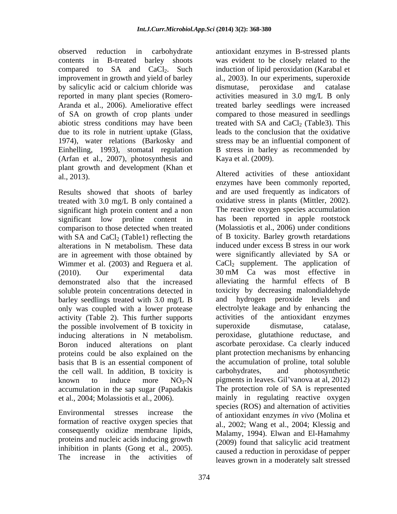by salicylic acid or calcium chloride was dismutase, peroxidase and catalase due to its role in nutrient uptake (Glass, (Arfan et al., 2007), photosynthesis and plant growth and development (Khan et al., 2013).

Results showed that shoots of barley treated with 3.0 mg/L B only contained a significant high protein content and a non comparison to those detected when treated alterations in N metabolism. These data are in agreement with those obtained by Wimmer et al. (2003) and Reguera et al. (2010). Our experimental data 30 mM Ca was most effective in demonstrated also that the increased soluble protein concentrations detected in barley seedlings treated with 3.0 mg/L B only was coupled with a lower protease activity (Table 2). This further supports the possible involvement of B toxicity in superoxide dismutase, catalase, inducing alterations in N metabolism. proteins could be also explained on the basis that B is an essential component of the cell wall. In addition, B toxicity is accumulation in the sap sugar (Papadakis

formation of reactive oxygen species that consequently oxidize membrane lipids, proteins and nucleic acids inducing growth inhibition in plants (Gong et al., 2005). The increase in the activities of

observed reduction in carbohydrate antioxidant enzymes in B-stressed plants contents in B-treated barley shoots was evident to be closely related to the compared to  $SA$  and  $CaCl<sub>2</sub>$ . Such induction of lipid peroxidation (Karabal et improvement in growth and yield of barley al., 2003). In our experiments, superoxide reported in many plant species (Romero- activities measured in 3.0 mg/L B only Aranda et al., 2006). Ameliorative effect treated barley seedlings were increased of SA on growth of crop plants under compared to those measured in seedlings abiotic stress conditions may have been treated with  $SA$  and  $CaCl<sub>2</sub>$  (Table3). This 1974), water relations (Barkosky and stress may be an influential component of Einhelling, 1993), stomatal regulation B stress in barley as recommended by dismutase, peroxidase and catalase leads to the conclusion that the oxidative

significant low proline content in has been reported in apple rootstock with SA and CaCl<sub>2</sub> (Table1) reflecting the of B toxicity. Barley growth retardations Boron induced alterations on plant ascorbate peroxidase. Ca clearly induced known to induce more  $NO_3-N$  pigments in leaves. Gil'vanova at al, 2012) et al., 2004; Molassiotis et al., 2006). mainly in regulating reactive oxygen Environmental stresses increase the of antioxidant enzymes *in vivo* (Molina et Kaya et al. (2009). Altered activities of these antioxidant enzymes have been commonly reported, and are used frequently as indicators of oxidative stress in plants (Mittler, 2002). The reactive oxygen species accumulation (Molassiotis et al., 2006) under conditions induced under excess B stress in our work were significantly alleviated by SA or  $CaCl<sub>2</sub>$  supplement. The application of 30 mM Ca was most effective in alleviating the harmful effects of B toxicity by decreasing malondialdehyde and hydrogen peroxide levels and electrolyte leakage and by enhancing the activities of the antioxidant enzymes superoxide dismutase, catalase, peroxidase, glutathione reductase, and plant protection mechanisms by enhancing the accumulation of proline, total soluble carbohydrates, and photosynthetic The protection role of SA is represented species (ROS) and alternation of activities al., 2002; Wang et al., 2004; Klessig and Malamy, 1994). Elwan and El-Hamahmy (2009) found that salicylic acid treatment caused a reduction in peroxidase of pepper leaves grown in a moderately salt stressed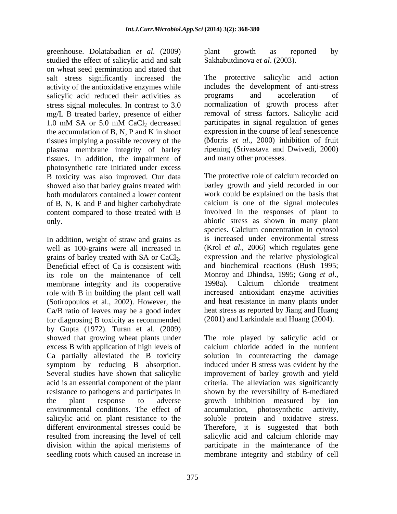greenhouse. Dolatabadian *et al*. (2009) studied the effect of salicylic acid and salt on wheat seed germination and stated that salt stress significantly increased the activity of the antioxidative enzymes while salicylic acid reduced their activities as programs and acceleration of mg/L B treated barley, presence of either the accumulation of B, N, P and K in shoot tissues implying a possible recovery of the plasma membrane integrity of barley tissues. In addition, the impairment of photosynthetic rate initiated under excess B toxicity was also improved. Our data showed also that barley grains treated with of B, N, K and P and higher carbohydrate content compared to those treated with B

In addition, weight of straw and grains as well as 100-grains were all increased in grains of barley treated with SA or CaCl<sub>2</sub>. expression and the relative physiological<br>Beneficial effect of Ca is consistent with and biochemical reactions (Bush 1995; its role on the maintenance of cell Monroy and Dhindsa, 1995; Gong *et al.*, membrane integrity and its cooperative 1998a). Calcium chloride treatment membrane integrity and its cooperative role with B in building the plant cell wall (Sotiropoulos et al., 2002). However, the Ca/B ratio of leaves may be a good index for diagnosing B toxicity as recommended by Gupta (1972). Turan et al. (2009) showed that growing wheat plants under excess B with application of high levels of environmental conditions. The effect of accumulation, photosynthetic activity, resulted from increasing the level of cell seedling roots which caused an increase in membrane integrity and stability of cell

plant growth as reported by Sakhabutdinova *et al*. (2003).

stress signal molecules. In contrast to 3.0 normalization of growth process after 1.0 mM SA or 5.0 mM CaCl<sub>2</sub> decreased participates in signal regulation of genes The protective salicylic acid action includes the development of anti-stress programs and acceleration of removal of stress factors. Salicylic acid participates in signal regulation of genes expression in the course of leaf senescence (Morris *et al*., 2000) inhibition of fruit ripening (Srivastava and Dwivedi, 2000) and many other processes.

both modulators contained a lower content work could be explained on the basis that only. abiotic stress as shown in many plant The protective role of calcium recorded on barley growth and yield recorded in our calcium is one of the signal molecules involved in the responses of plant to species. Calcium concentration in cytosol is increased under environmental stress (Krol *et al*., 2006) which regulates gene expression and the relative physiological and biochemical reactions (Bush 1995; Monroy and Dhindsa, 1995; Gong *et al*., 1998a). Calcium chloride treatment increased antioxidant enzyme activities and heat resistance in many plants under heat stress as reported by Jiang and Huang (2001) and Larkindale and Huang (2004).

Ca partially alleviated the B toxicity solution in counteracting the damage symptom by reducing B absorption. induced under B stress was evident by the Several studies have shown that salicylic improvement of barley growth and yield acid is an essential component of the plant criteria. The alleviation was significantly resistance to pathogens and participates in shown by the reversibility of B-mediated the plant response to adverse growth inhibition measured by ion salicylic acid on plant resistance to the soluble protein and oxidative stress. different environmental stresses could be Therefore, it is suggested that both division within the apical meristems of participate in the maintenance of the The role played by salicylic acid or calcium chloride added in the nutrient accumulation, photosynthetic salicylic acid and calcium chloride may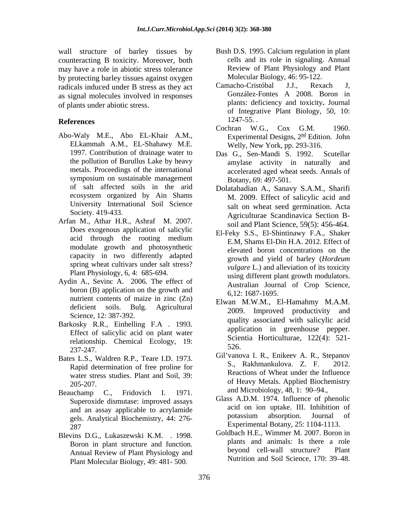wall structure of barley tissues by counteracting B toxicity. Moreover, both may have a role in abiotic stress tolerance by protecting barley tissues against oxygen<br>
radicals induced under B stress as they act Camacho-Cristóbal J.J., Rexach J. radicals induced under B stress as they act Camacho-Cristóbal J.J., Rexach J,<br>as signal molecules involved in responses González-Fontes A 2008. Boron in as signal molecules involved in responses of plants under abiotic stress.

- ELkammah A.M., EL-Shahawy M.E. 1997. Contribution of drainage water to Das G., Sen-Mandi S. 1992. Scutellar symposium on sustainable management of salt affected soils in the arid Dolatabadian A., Sanavy S.A.M., Sharifi ecosystem organized by Ain Shams University International Soil Science
- Arfan M., Athar H.R., Ashraf M. 2007. Does exogenous application of salicylic modulate growth and photosynthetic spring wheat cultivars under salt stress? Plant Physiology, 6, 4: 685-694.
- Aydin A., Sevinc A. 2006. The effect of boron (B) application on the growth and nutrient contents of maize in zinc (Zn) Science, 12: 387-392.
- relationship. Chemical Ecology, 19: Service 327, 247  $\frac{320}{12}$ .
- Bates L.S., Waldren R.P., Teare I.D. 1973.<br>Barid determination of free proline for S., Rakhmankulova. Z. F. 2012. water stress studies. Plant and Soil, 39:
- Beauchamp C., Fridovich I. 1971.  $\alpha$  and MICrophology, 48, 1. 90–94. Superoxide dismutase: improved assays gels. Analytical Biochemistry, 44: 276-  $\text{Experimental Douany, } \text{23: } 1104-1113.$
- Blevins D.G., Lukaszewski K.M. . 1998. Annual Review of Plant Physiology and Plant Molecular Biology, 49: 481- 500.
- Bush D.S. 1995. Calcium regulation in plant cells and its role in signaling. Annual Review of Plant Physiology and Plant Molecular Biology, 46: 95-122.
- **References** 1247-55. Camacho-Cristóbal J.J., Rexach J, González-Fontes A 2008. Boron in plants: deficiency and toxicity**.** Journal of Integrative Plant Biology, 50, 10: 1247-55. .
- Abo-Waly M.E., Abo EL-Khair A.M., Experimental Designs, 2<sup>nd</sup> Edition. John Cochran W.G., Cox G.M. 1960. Welly, New York, pp. 293-316.
	- the pollution of Burullus Lake by heavy amylase activity in naturally and metals. Proceedings of the international accelerated aged wheat seeds. Annals of Das G., Sen-Mandi S. 1992. Botany, 69: 497-501.
	- Society. 419-433. Agriculturae Scandinavica Section B- M. 2009. Effect of salicylic acid and salt on wheat seed germination. Acta soil and Plant Science, 59(5): 456-464.
	- acid through the rooting medium  $EM$  Shame El Din H A 2012 Effect of capacity in two differently adapted<br>growth and yield of barley (Hordeum El-Feky S.S., El-Shintinawy F.A., Shaker E.M, Shams El-Din H.A. 2012. Effect of elevated boron concentrations on the growth and yield of barley (*Hordeum vulgare* L.) and alleviation of its toxicity using different plant growth modulators. Australian Journal of Crop Science, 6,12: 1687-1695.
- deficient soils. Bulg. Agricultural 2009. Improved productivity and Barkosky R.R., Einhelling F.A . 1993. quality associated with saftcyfic actual the state of the state of the state of the state of the state of the state of the state of the state of the state of the state of the state of Effect of salicylic acid on plant water<br>
relationship Chamical Ecclesy 10. Scientia Horticulturae, 122(4): 521-Elwan M.W.M., El-Hamahmy M.A.M. quality associated with salicylic acid application in greenhouse pepper. Scientia Horticulturae, 122(4): 521- 526.
	- Rapid determination of free proline for<br>water stress studies. Plant and Soil 20. Reactions of Wheat under the Influence of Heavy Metals. Applied Biochemistry<br>205-207. Gil'vanova I. R., Enikeev A. R., Stepanov S., Rakhmankulova. Z. F. 2012. Reactions of Wheat under the Influence and Microbiology, 48, 1: 90–94.,
	- and an assay applicable to acrylamide<br>acle Applytical Biochamistry 44: 276 botassium absorption. Journal of Glass A.D.M. 1974. Influence of phenolic acid on ion uptake. III. Inhibition of potassium absorption. Journal of Experimental Botany, 25: 1104-1113.
	- Boron in plant structure and function. The plants and animals: is there a role<br>Annual Bayiaw of Plant Physiology and the beyond cell-wall structure? Plant Goldbach H.E., Wimmer M. 2007. Boron in plants and animals: Is there a role beyond cell-wall structure? Nutrition and Soil Science, 170: 39-48.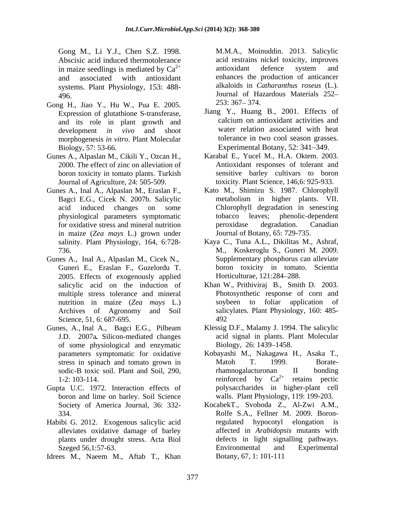Gong M., Li Y.J., Chen S.Z. 1998. Abscisic acid induced thermotolerance<br>in maize seedlings is mediated by  $Ca^{2+}$  antioxidant defence system in maize seedlings is mediated by  $Ca^{2+}$  antioxidant defence system and systems. Plant Physiology, 153: 488-

- Gong H., Jiao Y., Hu W., Pua E. 2005. 253: 367-374. Expression of glutathione S-transferase, and its role in plant growth and morphogenesis *in vitro*. Plant Molecular Biology, 57: 53-66. **Experimental Botany**, 52: 341–349.
- Gunes A., Alpaslan M., Cikili Y., Ozcan H., boron toxicity in tomato plants. Turkish
- Gunes A., Inal A., Alpaslan M., Eraslan F., in maize (*Zea mays* L.) grown under salinity. Plant Physiology, 164, 6:728-
- Gunes A., Inal A., Alpaslan M., Cicek N., Supplementary phosphorus can alleviate 2005. Effects of exogenously applied Horticulturae, 121:284–288. Archives of Agronomy and Soil Science, 51, 6: 687-695. 492
- Gunes, A., Inal A., Bagci E.G., Pilbeam J.D. 2007a*.* Silicon-mediated changes of some physiological and enzymatic
- Gupta U.C. 1972. Interaction effects of boron and lime on barley. Soil Science
- Habibi G. 2012. Exogenous salicylic acid alleviates oxidative damage of barley
- Idrees M., Naeem M., Aftab T., Khan

 $2^{+}$  antioxidant defence system and and associated with antioxidant enhances the production of anticancer 496. Journal of Hazardous Materials 252 M.M.A., Moinuddin. 2013. Salicylic acid restrains nickel toxicity, improves antioxidant defence system and alkaloids in *Catharanthus roseus* (L.).  $253:367 - 374.$ 

- development *in vivo* and shoot water relation associated with heat Jiang Y., Huang B., 2001. Effects of calcium on antioxidant activities and tolerance in two cool season grasses.
- 2000. The effect of zinc on alleviation of Antioxidant responses of tolerant and Journal of Agriculture, 24: 505-509. toxicity. Plant Science, 146,6: 925-933. Karabal E., Yucel M., H.A. Oktem. 2003. sensitive barley cultivars to boron
- Bagci E.G., Cicek N. 2007b. Salicylic metabolism in higher plants. VII. acid induced changes on some Chlorophyll degradation in senescing physiological parameters symptomatic for oxidative stress and mineral nutrition peroxidase degradation. Canadian Kato M., Shimizu S. 1987. Chlorophyll tobacco leaves; phenolic-dependent peroxidase degradation. Canadian Journal of Botany, 65: 729-735.
- 736. M., Koskeroglu S., Guneri M. 2009. Guneri E., Eraslan F., Guzelordu T. boron toxicity in tomato. Scientia Kaya C., Tuna A.L., Dikilitas M., Ashraf, Horticulturae, 121:284–288.
- salicylic acid on the induction of Khan W., Prithiviraj B., Smith D. 2003. multiple stress tolerance and mineral Photosynthetic response of corn and nutrition in maize (*Zea mays* L.) soybeen to foliar application of salicylates*.* Plant Physiology, 160: 485- 492
	- Klessig D.F., Malamy J. 1994. The salicylic acid signal in plants. Plant Molecular Biology, 26: 1439–1458.
- parameters symptomatic for oxidative Kobayashi M., Nakagawa H., Asaka T., stress in spinach and tomato grown in Matoh T. 1999. Boratesodic-B toxic soil. Plant and Soil, 290, hamnogalacturonan II bonding 1-2: 103-114.  $\qquad \qquad$  reinforced by  $Ca^{2+}$  retains pectic Matoh T. 1999. Boraterhamnogalacturonan II bonding polysaccharides in higher-plant cell walls. Plant Physiology, 119: 199-203.
- Society of America Journal, 36: 332- KocabekT., Svoboda Z., Al-Zwi A.M., 334. Rolfe S.A., Fellner M. 2009. Boronplants under drought stress. Acta Biol defects in light signalling pathways. Szeged 56,1:57-63. Environmental and Experimental regulated hypocotyl elongation is affected in *Arabidopsis* mutants with Environmental and Experimental Botany, 67, 1: 101-111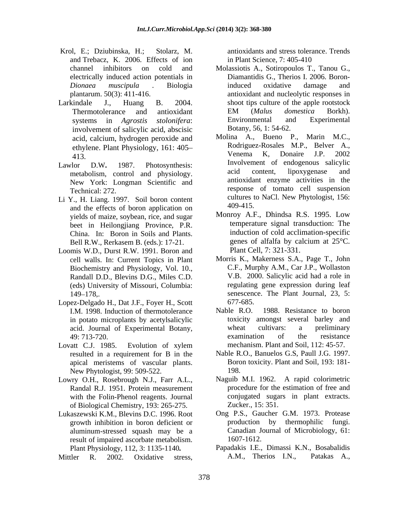- Krol, E.; Dziubinska, H.; Stolarz, M. antioxidants and stress tolerance. Trends and Trebacz, K. 2006. Effects of ion
- involvement of salicylic acid, abscisic acid, calcium, hydrogen peroxide and
- New York: Longman Scientific and
- Li Y., H. Liang. 1997. Soil boron content cultures t and the effects of boron application on yields of maize, soybean, rice, and sugar beet in Heilongjiang Province, P.R. Bell R.W., Rerkasem B. (eds.): 17-21.
- Loomis W.D., Durst R.W. 1991. Boron and cell walls. In: Current Topics in Plant Biochemistry and Physiology, Vol. 10., Randall D.D., Blevins D.G., Miles C.D. (eds) University of Missouri, Columbia:
- Lopez-Delgado H., Dat J.F., Foyer H., Scott 677-685.<br>
I.M. 1998. Induction of thermotolerance Nable R.O. 1988. Resistance to boron I.M. 1998. Induction of thermotolerance in potato microplants by acetylsalicylic
- Lovatt C.J. 1985. Evolution of xylem mechanism. Plant and Soil, 112: 45-57. apical meristems of vascular plants. New Phytologist, 99: 509-522.
- Lowry O.H., Rosebrough N.J., Farr A.L., Randal R.J. 1951. Protein measurement of Biological Chemistry, 193: 265-275.
- growth inhibition in boron deficient or result of impaired ascorbate metabolism.

Mittler R. 2002. Oxidative stress, A.M., Therios I.N., Patakas A.,

in Plant Science, 7: 405-410

- channel inhibitors on cold and Molassiotis A., Sotiropoulos T., Tanou G., electrically induced action potentials in Diamantidis G., Therios I. 2006. Boron-*Dionaea muscipula* . Biologia plantarum. 50(3): 411-416. antioxidant and nucleolytic responses in Larkindale J., Huang B. 2004. shoot tips culture of the apple rootstock Thermotolerance and antioxidant EM (Malus domestica Borkh). systems in *Agrostis stolonifera*: induced oxidative damage and EM (*Malus domestica* Borkh). Environmental and Experimental Botany, 56, 1: 54-62.
- ethylene. Plant Physiology, 161: 405-<br>
Menema K, Donaire J.P. 2002<br>
Venema K, Donaire J.P. 2002 413. Venema K, Donaire J.P. 2002 Lawlor D.W. 1987. Photosynthesis: Involvement of endogenous salicylic metabolism, control and physiology. acid content, lipoxygenase and Technical: 272. response of tomato cell suspension Molina A., Bueno P., Marin M.C., Rodriguez-Rosales M.P., Belver A., Venema K, Donaire J.P. 2002 acid content, lipoxygenase and antioxidant enzyme activities in the cultures to NaCl. New Phytologist, 156: 409-415.
	- China. In: Boron in Soils and Plants.<br>
	Rell R W Rerkasem B (eds): 17-21 eenes of alfalfa by calcium at 25<sup>o</sup>C. Monroy A.F., Dhindsa R.S. 1995. Low temperature signal transduction: The induction of cold acclimation-specific genes of alfalfa by calcium at 25°C. Plant Cell, 7: 321-331.
	- 149–178, senescence. The Plant Journal, 23, 5: Morris K., Makerness S.A., Page T., John C.F., Murphy A.M., Car J.P., Wollaston V.B. 2000. Salicylic acid had a role in regulating gene expression during leaf 677-685.
	- acid. Journal of Experimental Botany, wheat cultivars: a preliminary<br>49:713-720. 49: 713-720. Nable R.O. 1988. Resistance to boron toxicity amongst several barley and wheat cultivars: a preliminary examination of the resistance mechanism. Plant and Soil, 112: 45-57.
	- resulted in a requirement for B in the Nable R.O., Banuelos G.S, Paull J.G. 1997. Boron toxicity. Plant and Soil, 193: 181- 198.
	- with the Folin-Phenol reagents. Journal conjugated sugars in plant extracts. Naguib M.I. 1962. A rapid colorimetric procedure for the estimation of free and Zucker., 15: 351.
- Lukaszewski K.M., Blevins D.C. 1996. Root Ong P.S., Gaucher G.M. 1973. Protease<br>growth inhibition in boron deficient or production by thermophilic fungi. aluminum-stressed squash may be a Canadian Journal of Microbiology, 61: Ong P.S., Gaucher G.M. 1973. Protease production by thermophilic fungi. 1607-1612.
	- Plant Physiology, 112, 3: 1135-1140*.* Papadakis I.E., Dimassi K.N., Bosabalidis A.M., Therios I.N., Patakas A.,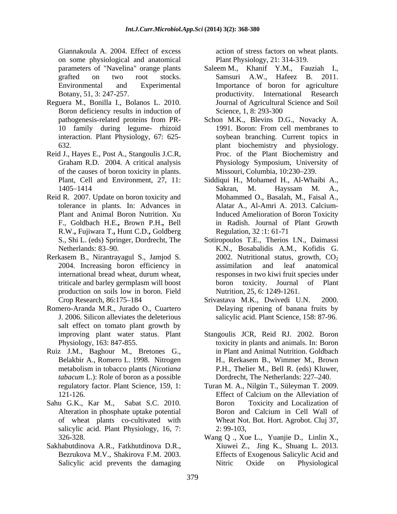Giannakoula A. 2004. Effect of excess action of stress factors on wheat plants. on some physiological and anatomical<br>parameters of "Navelina" orange plants

- Reguera M., Bonilla I., Bolanos L. 2010. Boron deficiency results in induction of Science, 1, 8: 293-300
- Reid J., Hayes E., Post A., Stangoulis J.C.R, of the causes of boron toxicity in plants.
- Reid R. 2007. Update on boron toxicity and F., Goldbach H.E.**,** Brown P.H.**,** Bell R.W.**,** Fujiwara T.**,** Hunt C.D.**,** Goldberg
- Rerkasem B., Nirantrayagul S., Jamjod S. production on soils low in boron. Field
- Romero-Aranda M.R., Jurado O., Cuartero salt effect on tomato plant growth by
- Ruiz J.M., Baghour M., Bretones G., *tabacum* L.): Role of boron as a possible
- Sahu G.K., Kar M., Sabat S.C. 2010. Boron Toxicity and Localization of salicylic acid. Plant Physiology, 16, 7: 2: 99-103,
- Sakhabutdinova A.R., Fatkhutdinova D.R.,

Plant Physiology, 21: 314-319.

- parameters of "Navelina" orange plants Saleem M., Khanif Y.M., Fauziah I., grafted on two root stocks. Samsuri A.W., Hafeez B. 2011. Environmental and Experimental Importance of boron for agriculture Botany, 51, 3: 247-257. productivity. International Research Journal of Agricultural Science and Soil Science, 1, 8: 293-300
- pathogenesis-related proteins from PR- Schon M.K., Blevins D.G., Novacky A. 10 family during legume- rhizoid 1991. Boron: From cell membranes to interaction. Plant Physiology, 67: 625- soybean branching. Current topics in 632. plant biochemistry and physiology. Graham R.D. 2004. A critical analysis Physiology Symposium, University of 1991. Boron: From cell membranes to Proc. of the Plant Biochemistry and Physiology Symposium, University of Missouri, Columbia, 10:230-239.
- Plant, Cell and Environment, 27, 11: Siddiqui H., Mohamed H., Al-Whaibi A., 1405 1414 tolerance in plants. In: Advances in Alatar A., Al-Amri A. 2013. Calcium-Plant and Animal Boron Nutrition. Xu Induced Amelioration of Boron Toxicity Sakran, M. Hayssam M. A., Mohammed O., Basalah, M., Faisal A., in Radish. Journal of Plant Growth Regulation, 32 :1: 61-71
- S., Shi L. (eds) Springer, Dordrecht, The Sotiropoulos T.E., Therios I.N., Daimassi Netherlands: 83 90. K.N., Bosabalidis A.M., Kofidis G. 2004. Increasing boron efficiency in international bread wheat, durum wheat, triticale and barley germplasm will boost boron toxicity. Journal of Plant 2002. Nutritional status, growth,  $CO<sub>2</sub>$ assimilation and leaf anatomical responses in two kiwi fruit species under boron toxicity. Journal of Nutrition, 25, 6: 1249-1261.
- Crop Research, 86:175 184 Srivastava M.K., Dwivedi U.N. 2000. J. 2006. Silicon alleviates the deleterious salicylic acid. Plant Science, 158: 87-96. Delaying ripening of banana fruits by
- improving plant water status. Plant Stangoulis JCR, Reid RJ. 2002. Boron Physiology, 163: 847-855. toxicity in plants and animals. In: Boron Belakbir A., Romero L. 1998. Nitrogen H., Rerkasem B., Wimmer M., Brown metabolism in tobacco plants (*Nicotiana*  in Plant and Animal Nutrition. Goldbach P.H., Thelier M., Bell R. (eds) Kluwer, Dordrecht, The Netherlands: 227–240.
- regulatory factor. Plant Science, 159, 1: Turan M. A., Nilgün T., Süleyman T. 2009. 121-126. Effect of Calcium on the Alleviation of Alteration in phosphate uptake potential and Calcium in Cell Wall of of wheat plants co-cultivated with Wheat Not. Bot. Hort. Agrobot. Cluj 37, Effect of Calcium on the Alleviation of Boron Toxicity and Localization of Boron and Calcium in Cell Wall of 2: 99-103,
- 326-328. Wang Q ., Xue L., Yuanjie D., Linlin X., Bezrukova M.V., Shakirova F.M. 2003. Effects of Exogenous Salicylic Acid and Salicylic acid prevents the damaging Mitric Oxide on Physiological Xiuwei Z., Jing K., Shuang L. 2013. Nitric Oxide on Physiological